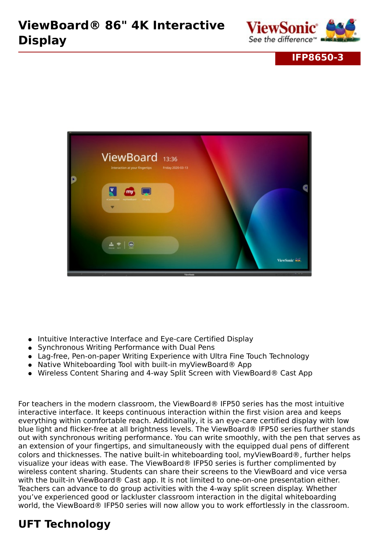

#### **IFP8650-3**



- Intuitive Interactive Interface and Eye-care Certified Display
- Synchronous Writing Performance with Dual Pens
- Lag-free, Pen-on-paper Writing Experience with Ultra Fine Touch Technology
- Native Whiteboarding Tool with built-in myViewBoard® App
- Wireless Content Sharing and 4-way Split Screen with ViewBoard® Cast App

For teachers in the modern classroom, the ViewBoard® IFP50 series has the most intuitive interactive interface. It keeps continuous interaction within the first vision area and keeps everything within comfortable reach. Additionally, it is an eye-care certified display with low blue light and flicker-free at all brightness levels. The ViewBoard® IFP50 series further stands out with synchronous writing performance. You can write smoothly, with the pen that serves as an extension of your fingertips, and simultaneously with the equipped dual pens of different colors and thicknesses. The native built-in whiteboarding tool, myViewBoard®, further helps visualize your ideas with ease. The ViewBoard® IFP50 series is further complimented by wireless content sharing. Students can share their screens to the ViewBoard and vice versa with the built-in ViewBoard® Cast app. It is not limited to one-on-one presentation either. Teachers can advance to do group activities with the 4-way split screen display. Whether you've experienced good or lackluster classroom interaction in the digital whiteboarding world, the ViewBoard® IFP50 series will now allow you to work effortlessly in the classroom.

## **UFT Technology**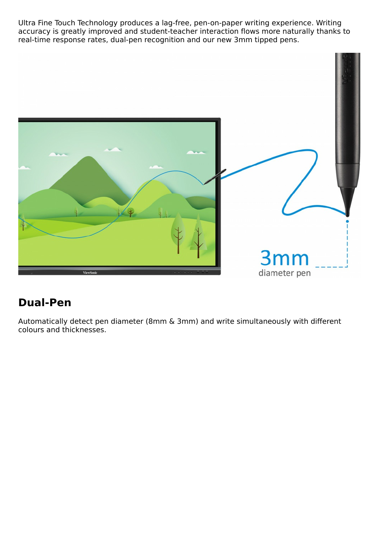Ultra Fine Touch Technology produces a lag-free, pen-on-paper writing experience. Writing accuracy is greatly improved and student-teacher interaction flows more naturally thanks to real-time response rates, dual-pen recognition and our new 3mm tipped pens.



#### **Dual-Pen**

Automatically detect pen diameter (8mm & 3mm) and write simultaneously with different colours and thicknesses.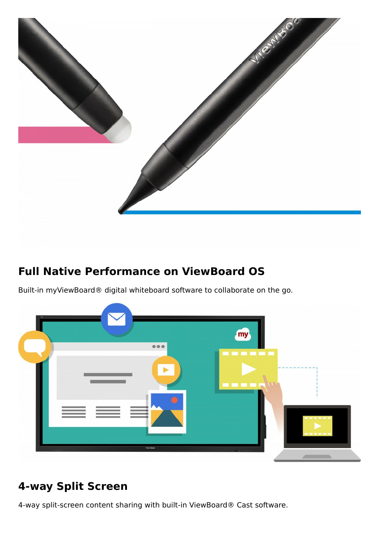

## **Full Native Performance on ViewBoard OS**

Built-in myViewBoard® digital whiteboard software to collaborate on the go.



## **4-way Split Screen**

4-way split-screen content sharing with built-in ViewBoard® Cast software.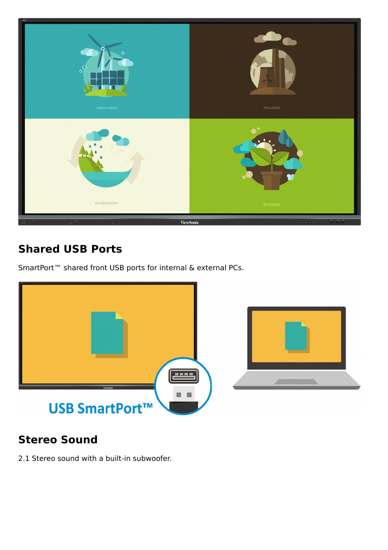

## **Shared USB Ports**

SmartPort<sup>™</sup> shared front USB ports for internal & external PCs.



## **Stereo Sound**

2.1 Stereo sound with a built-in subwoofer.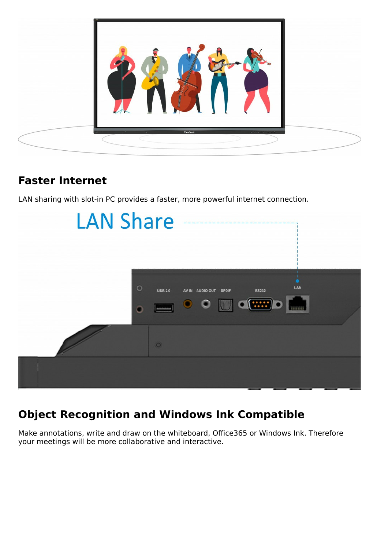

## **Faster Internet**

LAN sharing with slot-in PC provides a faster, more powerful internet connection.



# **Object Recognition and Windows Ink Compatible**

Make annotations, write and draw on the whiteboard, Office365 or Windows Ink. Therefore your meetings will be more collaborative and interactive.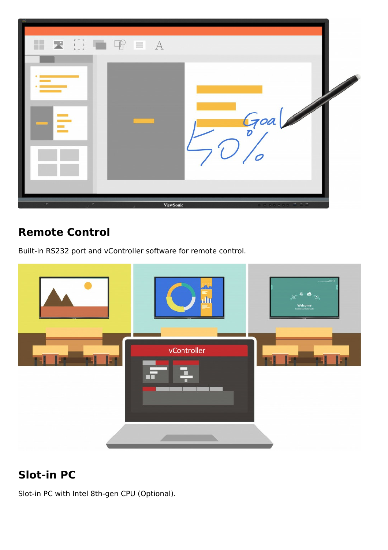

## **Remote Control**

Built-in RS232 port and vController software for remote control.



## **Slot-in PC**

Slot-in PC with Intel 8th-gen CPU (Optional).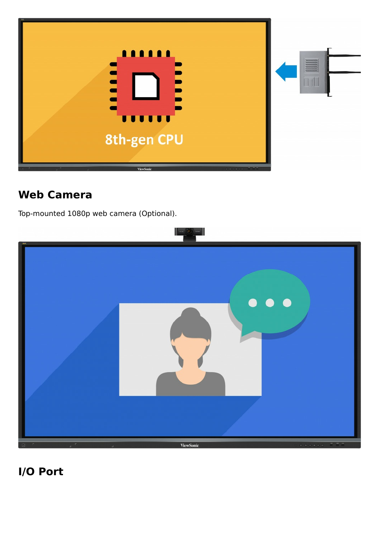

#### **Web Camera**

Top-mounted 1080p web camera (Optional).



**I/O Port**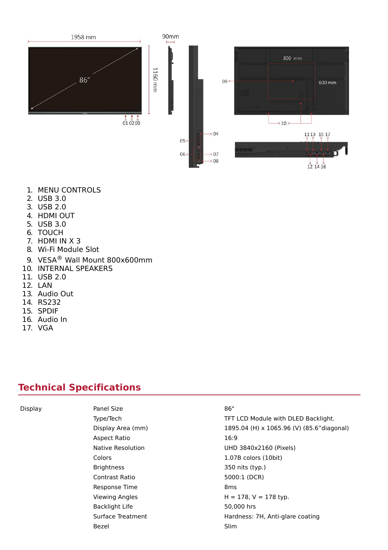

- 1. MENU CONTROLS
- 2. USB 3.0
- 3. USB 2.0
- 4. HDMI OUT
- 5. USB 3.0
- 6. TOUCH
- 7. HDMI IN X 3
- 8. Wi-Fi Module Slot
- 9. VESA® Wall Mount 800x600mm
- 10. INTERNAL SPEAKERS
- 11. USB 2.0
- 12. LAN
- 13. Audio Out
- 14. RS232
- 15. SPDIF
- 16. Audio In
- 17. VGA

#### **Technical Specifications**

Display **Panel Size Panel Size** 86" Aspect Ratio 16:9 Brightness 350 nits (typ.) Contrast Ratio 5000:1 (DCR) Response Time 8ms Backlight Life 50,000 hrs Bezel Slim

Type/Tech TFT LCD Module with DLED Backlight. Display Area (mm) 1895.04 (H) x 1065.96 (V) (85.6"diagonal) Native Resolution UHD 3840x2160 (Pixels) Colors 1.07B colors (10bit) Viewing Angles  $H = 178$ ,  $V = 178$  typ. Surface Treatment **Hardness: 7H, Anti-glare coating**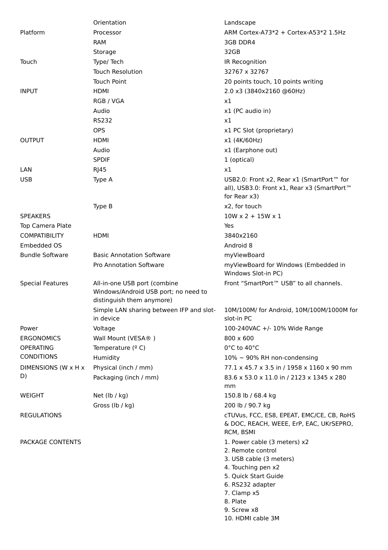|                         | Orientation                                                                                       | Landscape                                                                                                                                                                                                     |
|-------------------------|---------------------------------------------------------------------------------------------------|---------------------------------------------------------------------------------------------------------------------------------------------------------------------------------------------------------------|
| Platform                | Processor                                                                                         | ARM Cortex-A73*2 + Cortex-A53*2 1.5Hz                                                                                                                                                                         |
|                         | <b>RAM</b>                                                                                        | 3GB DDR4                                                                                                                                                                                                      |
|                         | Storage                                                                                           | 32GB                                                                                                                                                                                                          |
| Touch                   | Type/ Tech                                                                                        | IR Recognition                                                                                                                                                                                                |
|                         | <b>Touch Resolution</b>                                                                           | 32767 x 32767                                                                                                                                                                                                 |
|                         | <b>Touch Point</b>                                                                                | 20 points touch, 10 points writing                                                                                                                                                                            |
| <b>INPUT</b>            | <b>HDMI</b>                                                                                       | 2.0 x3 (3840x2160 @60Hz)                                                                                                                                                                                      |
|                         | RGB / VGA                                                                                         | x1                                                                                                                                                                                                            |
|                         | Audio                                                                                             | x1 (PC audio in)                                                                                                                                                                                              |
|                         | <b>RS232</b>                                                                                      | x1                                                                                                                                                                                                            |
|                         | <b>OPS</b>                                                                                        | x1 PC Slot (proprietary)                                                                                                                                                                                      |
| <b>OUTPUT</b>           | <b>HDMI</b>                                                                                       | x1 (4K/60Hz)                                                                                                                                                                                                  |
|                         | Audio                                                                                             | x1 (Earphone out)                                                                                                                                                                                             |
|                         | <b>SPDIF</b>                                                                                      | 1 (optical)                                                                                                                                                                                                   |
| LAN                     | <b>RJ45</b>                                                                                       | x1                                                                                                                                                                                                            |
| <b>USB</b>              | Type A                                                                                            | USB2.0: Front x2, Rear x1 (SmartPort™ for                                                                                                                                                                     |
|                         |                                                                                                   | all), USB3.0: Front x1, Rear x3 (SmartPort™<br>for Rear x3)                                                                                                                                                   |
|                         | Type B                                                                                            | x2, for touch                                                                                                                                                                                                 |
| <b>SPEAKERS</b>         |                                                                                                   | $10W \times 2 + 15W \times 1$                                                                                                                                                                                 |
|                         |                                                                                                   | Yes                                                                                                                                                                                                           |
| Top Camera Plate        |                                                                                                   |                                                                                                                                                                                                               |
| <b>COMPATIBILITY</b>    | <b>HDMI</b>                                                                                       | 3840x2160                                                                                                                                                                                                     |
| Embedded OS             |                                                                                                   | Android 8                                                                                                                                                                                                     |
| <b>Bundle Software</b>  | <b>Basic Annotation Software</b>                                                                  | myViewBoard                                                                                                                                                                                                   |
|                         | Pro Annotation Software                                                                           | myViewBoard for Windows (Embedded in<br>Windows Slot-in PC)                                                                                                                                                   |
| <b>Special Features</b> | All-in-one USB port (combine<br>Windows/Android USB port; no need to<br>distinguish them anymore) | Front "SmartPort™ USB" to all channels.                                                                                                                                                                       |
|                         | Simple LAN sharing between IFP and slot-<br>in device                                             | 10M/100M/ for Android, 10M/100M/1000M for<br>slot-in PC                                                                                                                                                       |
| Power                   | Voltage                                                                                           | 100-240VAC +/- 10% Wide Range                                                                                                                                                                                 |
| <b>ERGONOMICS</b>       | Wall Mount (VESA®)                                                                                | 800 x 600                                                                                                                                                                                                     |
| <b>OPERATING</b>        | Temperature $(°C)$                                                                                | 0°C to 40°C                                                                                                                                                                                                   |
| <b>CONDITIONS</b>       | Humidity                                                                                          | 10% ~ 90% RH non-condensing                                                                                                                                                                                   |
| DIMENSIONS (W x H x     | Physical (inch / mm)                                                                              | 77.1 x 45.7 x 3.5 in / 1958 x 1160 x 90 mm                                                                                                                                                                    |
| D)                      | Packaging (inch / mm)                                                                             | 83.6 x 53.0 x 11.0 in / 2123 x 1345 x 280<br>mm                                                                                                                                                               |
| <b>WEIGHT</b>           | Net (lb / kg)                                                                                     | 150.8 lb / 68.4 kg                                                                                                                                                                                            |
|                         | Gross (lb / kg)                                                                                   | 200 lb / 90.7 kg                                                                                                                                                                                              |
| <b>REGULATIONS</b>      |                                                                                                   | cTUVus, FCC, ES8, EPEAT, EMC/CE, CB, RoHS<br>& DOC, REACH, WEEE, ErP, EAC, UKrSEPRO,<br>RCM, BSMI                                                                                                             |
| PACKAGE CONTENTS        |                                                                                                   | 1. Power cable (3 meters) x2<br>2. Remote control<br>3. USB cable (3 meters)<br>4. Touching pen x2<br>5. Quick Start Guide<br>6. RS232 adapter<br>7. Clamp x5<br>8. Plate<br>9. Screw x8<br>10. HDMI cable 3M |